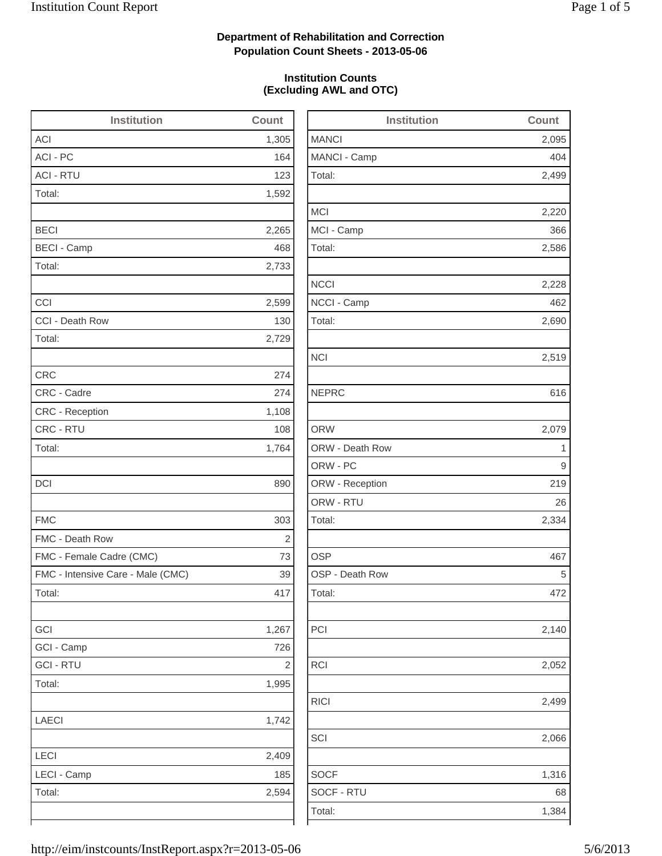2,095

2,499

2,220

2,586

2,228

2,690

2,519

2,079

2,334

2,140

2,052

2,499

2,066

1,316

## **Department of Rehabilitation and Correction Population Count Sheets - 2013-05-06**

### **Institution Counts (Excluding AWL and OTC)**

| <b>Institution</b>                | Count          | <b>Institution</b> | Count        |
|-----------------------------------|----------------|--------------------|--------------|
| ACI                               | 1,305          | <b>MANCI</b>       | 2,095        |
| ACI - PC                          | 164            | MANCI - Camp       | 404          |
| <b>ACI - RTU</b>                  | 123            | Total:             | 2,499        |
| Total:                            | 1,592          |                    |              |
|                                   |                | <b>MCI</b>         | 2,220        |
| <b>BECI</b>                       | 2,265          | MCI - Camp         | 366          |
| <b>BECI - Camp</b>                | 468            | Total:             | 2,586        |
| Total:                            | 2,733          |                    |              |
|                                   |                | <b>NCCI</b>        | 2,228        |
| CCI                               | 2,599          | NCCI - Camp        | 462          |
| CCI - Death Row                   | 130            | Total:             | 2,690        |
| Total:                            | 2,729          |                    |              |
|                                   |                | <b>NCI</b>         | 2,519        |
| <b>CRC</b>                        | 274            |                    |              |
| CRC - Cadre                       | 274            | <b>NEPRC</b>       | 616          |
| CRC - Reception                   | 1,108          |                    |              |
| CRC - RTU                         | 108            | <b>ORW</b>         | 2,079        |
| Total:                            | 1,764          | ORW - Death Row    | $\mathbf{1}$ |
|                                   |                | ORW - PC           | 9            |
| <b>DCI</b>                        | 890            | ORW - Reception    | 219          |
|                                   |                | ORW - RTU          | 26           |
| <b>FMC</b>                        | 303            | Total:             | 2,334        |
| FMC - Death Row                   | $\overline{c}$ |                    |              |
| FMC - Female Cadre (CMC)          | 73             | <b>OSP</b>         | 467          |
| FMC - Intensive Care - Male (CMC) | 39             | OSP - Death Row    | 5            |
| Total:                            | 417            | Total:             | 472          |
| GCI                               | 1,267          | PCI                | 2,140        |
| GCI - Camp                        | 726            |                    |              |
| <b>GCI-RTU</b>                    | $\mathbf{2}$   | RCI                | 2,052        |
| Total:                            | 1,995          |                    |              |
|                                   |                | RICI               | 2,499        |
| LAECI                             | 1,742          |                    |              |
|                                   |                | SCI                | 2,066        |
| LECI                              | 2,409          |                    |              |
| LECI - Camp                       | 185            | <b>SOCF</b>        | 1,316        |
| Total:                            | 2,594          | SOCF - RTU         | 68           |
|                                   |                | Total:             | 1,384        |
|                                   |                |                    |              |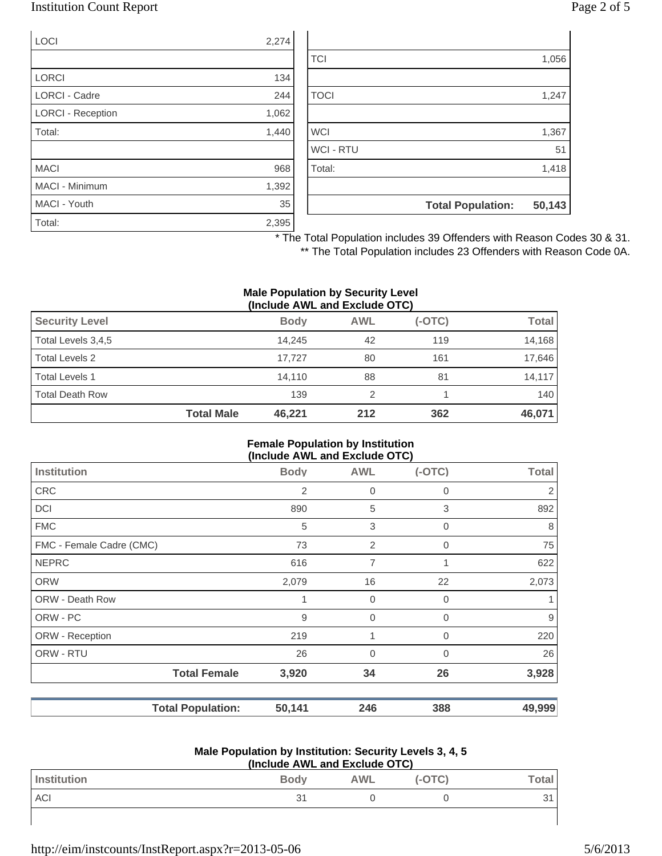### Institution Count Report Page 2 of 5

| <b>LOCI</b>              | 2,274 |
|--------------------------|-------|
|                          |       |
| <b>LORCI</b>             | 134   |
| <b>LORCI - Cadre</b>     | 244   |
| <b>LORCI - Reception</b> | 1,062 |
| Total:                   | 1,440 |
|                          |       |
| <b>MACI</b>              | 968   |
| MACI - Minimum           | 1,392 |
| MACI - Youth             | 35    |
| Total:                   | 2,395 |

|                  | <b>Total Population:</b> | 50,143 |
|------------------|--------------------------|--------|
|                  |                          |        |
| Total:           |                          | 1,418  |
| <b>WCI - RTU</b> |                          | 51     |
| <b>WCI</b>       |                          | 1,367  |
|                  |                          |        |
| <b>TOCI</b>      |                          | 1,247  |
|                  |                          |        |
| <b>TCI</b>       |                          | 1,056  |
|                  |                          |        |

\* The Total Population includes 39 Offenders with Reason Codes 30 & 31.

\*\* The Total Population includes 23 Offenders with Reason Code 0A.

#### **Male Population by Security Level (Include AWL and Exclude OTC)**

| $\mathbf{u}$          |                   |             |            |          |              |
|-----------------------|-------------------|-------------|------------|----------|--------------|
| <b>Security Level</b> |                   | <b>Body</b> | <b>AWL</b> | $(-OTC)$ | <b>Total</b> |
| Total Levels 3,4,5    |                   | 14.245      | 42         | 119      | 14,168       |
| Total Levels 2        |                   | 17.727      | 80         | 161      | 17,646       |
| Total Levels 1        |                   | 14.110      | 88         | 81       | 14,117       |
| Total Death Row       |                   | 139         |            |          | 140          |
|                       | <b>Total Male</b> | 46.221      | 212        | 362      | 46,071       |

#### **Female Population by Institution (Include AWL and Exclude OTC)**

| <b>Body</b>                        | <b>AWL</b>     | $(-OTC)$    | <b>Total</b> |
|------------------------------------|----------------|-------------|--------------|
| 2                                  | $\mathbf 0$    | 0           | 2            |
| 890                                | 5              | 3           | 892          |
| 5                                  | 3              | 0           | 8            |
| 73                                 | 2              | $\mathbf 0$ | 75           |
| 616                                | $\overline{7}$ |             | 622          |
| 2,079                              | 16             | 22          | 2,073        |
| 1                                  | $\mathbf 0$    | $\Omega$    |              |
| 9                                  | $\mathbf 0$    | $\Omega$    | 9            |
| 219                                | 1              | 0           | 220          |
| 26                                 | $\mathbf 0$    | $\Omega$    | 26           |
| <b>Total Female</b><br>3,920       | 34             | 26          | 3,928        |
| <b>Total Population:</b><br>50,141 |                | 388         | 49,999       |
|                                    |                |             | 246          |

#### **Male Population by Institution: Security Levels 3, 4, 5 (Include AWL and Exclude OTC)**

| (include AVVL and Exclude OTC) |             |            |          |        |
|--------------------------------|-------------|------------|----------|--------|
| Institution                    | <b>Body</b> | <b>AWL</b> | $(-OTC)$ | ™otal⊺ |
| <b>ACI</b>                     | 31          |            |          |        |
|                                |             |            |          |        |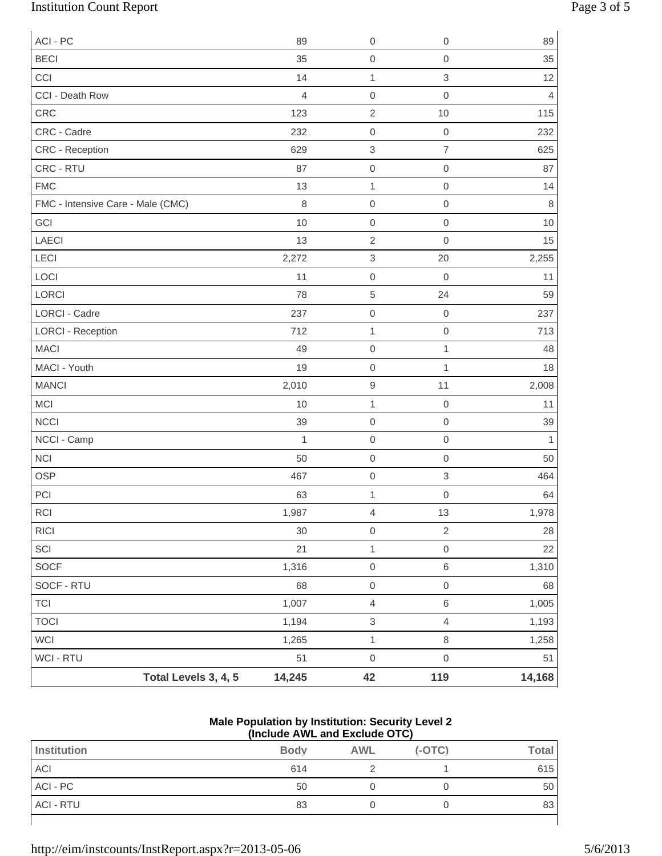# Institution Count Report Page 3 of 5

| ACI - PC                          |                      | 89     | $\mathbf 0$               | $\mathbf 0$      | 89             |
|-----------------------------------|----------------------|--------|---------------------------|------------------|----------------|
| <b>BECI</b>                       |                      | 35     | $\mathbf 0$               | $\mbox{O}$       | 35             |
| CCI                               |                      | 14     | $\mathbf{1}$              | 3                | 12             |
| CCI - Death Row                   |                      | 4      | $\mathbf 0$               | $\mathbf 0$      | $\overline{4}$ |
| CRC                               |                      | 123    | $\sqrt{2}$                | 10               | 115            |
| CRC - Cadre                       |                      | 232    | $\mathbf 0$               | $\mathbf 0$      | 232            |
| CRC - Reception                   |                      | 629    | $\,3$                     | $\overline{7}$   | 625            |
| CRC - RTU                         |                      | 87     | $\mbox{O}$                | $\mathbf 0$      | 87             |
| <b>FMC</b>                        |                      | 13     | $\mathbf{1}$              | $\mathbf 0$      | 14             |
| FMC - Intensive Care - Male (CMC) |                      | 8      | $\mathbf 0$               | $\mathbf 0$      | $\,8\,$        |
| GCI                               |                      | 10     | $\mathbf 0$               | $\mathbf 0$      | 10             |
| <b>LAECI</b>                      |                      | 13     | $\sqrt{2}$                | $\mathbf 0$      | 15             |
| LECI                              |                      | 2,272  | $\ensuremath{\mathsf{3}}$ | 20               | 2,255          |
| LOCI                              |                      | 11     | $\mathbf 0$               | $\mathbf 0$      | 11             |
| <b>LORCI</b>                      |                      | 78     | $\sqrt{5}$                | 24               | 59             |
| <b>LORCI - Cadre</b>              |                      | 237    | $\mathbf 0$               | $\mathbf 0$      | 237            |
| <b>LORCI - Reception</b>          |                      | 712    | $\mathbf{1}$              | $\mbox{O}$       | 713            |
| <b>MACI</b>                       |                      | 49     | $\mbox{O}$                | 1                | 48             |
| MACI - Youth                      |                      | 19     | $\mathbf 0$               | $\mathbf{1}$     | 18             |
| <b>MANCI</b>                      |                      | 2,010  | $\hbox{9}$                | 11               | 2,008          |
| <b>MCI</b>                        |                      | 10     | $\mathbf{1}$              | $\boldsymbol{0}$ | 11             |
| <b>NCCI</b>                       |                      | 39     | $\mathbf 0$               | $\mbox{O}$       | 39             |
| NCCI - Camp                       |                      | 1      | $\mbox{O}$                | $\mathbf 0$      | 1              |
| <b>NCI</b>                        |                      | 50     | $\mathbf 0$               | $\mathbf 0$      | 50             |
| <b>OSP</b>                        |                      | 467    | $\mathbf 0$               | $\sqrt{3}$       | 464            |
| PCI                               |                      | 63     | $\mathbf 1$               | $\mathbf 0$      | 64             |
| $\sf RCI$                         |                      | 1,987  | $\overline{4}$            | 13               | 1,978          |
| RICI                              |                      | 30     | $\mathsf{O}\xspace$       | $\sqrt{2}$       | 28             |
| SCI                               |                      | 21     | $\mathbf{1}$              | $\mathbf 0$      | 22             |
| SOCF                              |                      | 1,316  | $\mathsf{O}\xspace$       | $\,6\,$          | 1,310          |
| SOCF - RTU                        |                      | 68     | $\mathbf 0$               | $\mathbf 0$      | 68             |
| <b>TCI</b>                        |                      | 1,007  | $\overline{4}$            | $\,6\,$          | 1,005          |
| <b>TOCI</b>                       |                      | 1,194  | $\ensuremath{\mathsf{3}}$ | $\overline{4}$   | 1,193          |
| WCI                               |                      | 1,265  | $\mathbf{1}$              | $\,8\,$          | 1,258          |
| WCI - RTU                         |                      | 51     | $\mathsf{O}\xspace$       | $\,0\,$          | 51             |
|                                   | Total Levels 3, 4, 5 | 14,245 | 42                        | 119              | 14,168         |

#### **Male Population by Institution: Security Level 2 (Include AWL and Exclude OTC)**

| Institution      | <b>Body</b> | <b>AWL</b> | $(-OTC)$ | <b>Total</b> |
|------------------|-------------|------------|----------|--------------|
| ACI              | 614         |            |          | 615          |
| ACI - PC         | 50          |            |          | 50           |
| <b>ACI - RTU</b> | 83          |            |          | 83           |
|                  |             |            |          |              |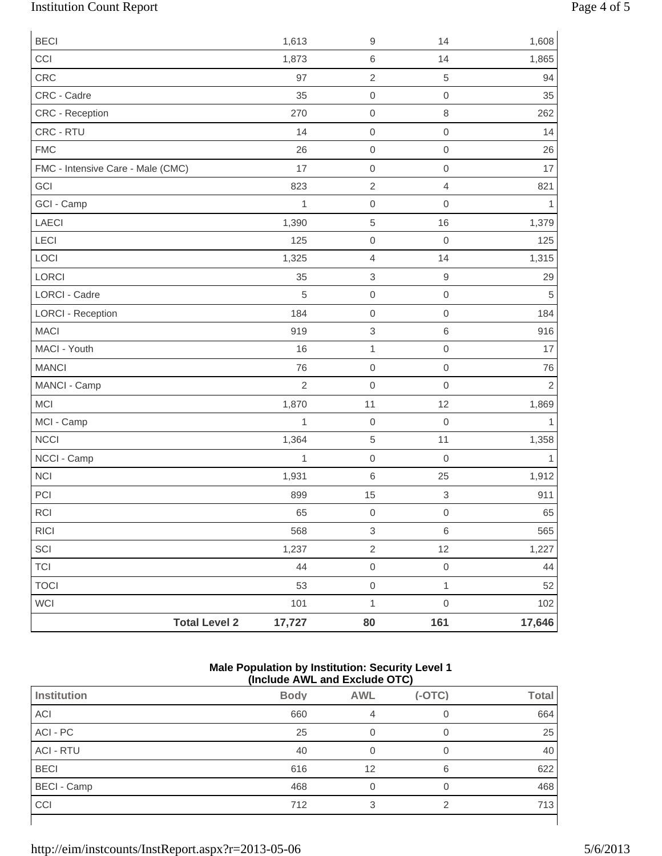# Institution Count Report Page 4 of 5

| <b>BECI</b>                       | 1,613          | $\boldsymbol{9}$          | 14                        | 1,608          |
|-----------------------------------|----------------|---------------------------|---------------------------|----------------|
| CCI                               | 1,873          | $\,6$                     | 14                        | 1,865          |
| CRC                               | 97             | $\sqrt{2}$                | $\sqrt{5}$                | 94             |
| CRC - Cadre                       | 35             | $\mathbf 0$               | $\mathbf 0$               | 35             |
| CRC - Reception                   | 270            | $\mathbf 0$               | $\,8\,$                   | 262            |
| CRC - RTU                         | 14             | $\mathbf 0$               | $\,0\,$                   | 14             |
| <b>FMC</b>                        | 26             | $\mathbf 0$               | $\mathbf 0$               | 26             |
| FMC - Intensive Care - Male (CMC) | 17             | $\mathsf{O}\xspace$       | $\mathsf{O}\xspace$       | 17             |
| GCI                               | 823            | $\sqrt{2}$                | $\overline{4}$            | 821            |
| GCI - Camp                        | 1              | $\mathbf 0$               | $\mathbf 0$               | $\mathbf{1}$   |
| LAECI                             | 1,390          | $\,$ 5 $\,$               | 16                        | 1,379          |
| LECI                              | 125            | $\mathbf 0$               | $\mathbf 0$               | 125            |
| LOCI                              | 1,325          | $\overline{4}$            | 14                        | 1,315          |
| LORCI                             | 35             | $\ensuremath{\mathsf{3}}$ | $\boldsymbol{9}$          | 29             |
| <b>LORCI - Cadre</b>              | 5              | $\mathbf 0$               | $\,0\,$                   | 5              |
| <b>LORCI - Reception</b>          | 184            | $\mathsf{O}\xspace$       | $\,0\,$                   | 184            |
| <b>MACI</b>                       | 919            | $\,3$                     | $\,$ 6 $\,$               | 916            |
| MACI - Youth                      | 16             | $\mathbf{1}$              | $\mbox{O}$                | 17             |
| <b>MANCI</b>                      | 76             | $\mathbf 0$               | $\mathbf 0$               | 76             |
| MANCI - Camp                      | $\overline{2}$ | $\mathbf 0$               | $\mathbf 0$               | $\overline{2}$ |
| <b>MCI</b>                        | 1,870          | 11                        | 12                        | 1,869          |
| MCI - Camp                        | $\mathbf{1}$   | $\mathbf 0$               | $\mathbf 0$               | 1              |
| NCCI                              | 1,364          | $\,$ 5 $\,$               | 11                        | 1,358          |
| NCCI - Camp                       | 1              | $\mathbf 0$               | $\mathbf 0$               | 1              |
| <b>NCI</b>                        | 1,931          | $\,6\,$                   | 25                        | 1,912          |
| PCI                               | 899            | 15                        | $\ensuremath{\mathsf{3}}$ | 911            |
| RCI                               | 65             | $\mathbf 0$               | $\mathsf{O}\xspace$       | 65             |
| <b>RICI</b>                       | 568            | $\,3$                     | $\,6\,$                   | 565            |
| SCI                               | 1,237          | $\sqrt{2}$                | 12                        | 1,227          |
| <b>TCI</b>                        | 44             | $\mathsf{O}\xspace$       | $\mathbf 0$               | 44             |
| <b>TOCI</b>                       | 53             | $\mathbf 0$               | $\mathbf{1}$              | 52             |
| WCI                               | 101            | $\mathbf{1}$              | $\mathsf{O}\xspace$       | 102            |
| <b>Total Level 2</b>              | 17,727         | 80                        | 161                       | 17,646         |

#### **Male Population by Institution: Security Level 1 (Include AWL and Exclude OTC)**

| .                  |             |            |          |              |
|--------------------|-------------|------------|----------|--------------|
| <b>Institution</b> | <b>Body</b> | <b>AWL</b> | $(-OTC)$ | <b>Total</b> |
| ACI                | 660         | 4          |          | 664          |
| ACI - PC           | 25          |            | 0        | 25           |
| <b>ACI - RTU</b>   | 40          |            | 0        | 40           |
| <b>BECI</b>        | 616         | 12         | 6        | 622          |
| <b>BECI - Camp</b> | 468         |            | 0        | 468          |
| CCI                | 712         | 3          | ⌒        | 713          |
|                    |             |            |          |              |